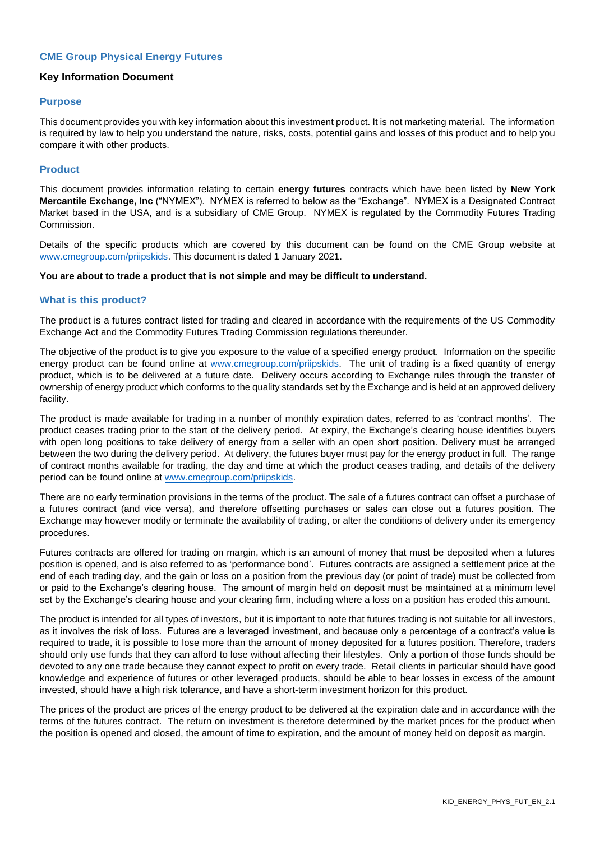# **CME Group Physical Energy Futures**

# **Key Information Document**

### **Purpose**

This document provides you with key information about this investment product. It is not marketing material. The information is required by law to help you understand the nature, risks, costs, potential gains and losses of this product and to help you compare it with other products.

## **Product**

This document provides information relating to certain **energy futures** contracts which have been listed by **New York Mercantile Exchange, Inc** ("NYMEX"). NYMEX is referred to below as the "Exchange". NYMEX is a Designated Contract Market based in the USA, and is a subsidiary of CME Group. NYMEX is regulated by the Commodity Futures Trading Commission.

Details of the specific products which are covered by this document can be found on the CME Group website at [www.cmegroup.com/priipskids.](http://www.cmegroup.com/priipskids) This document is dated 1 January 2021.

#### **You are about to trade a product that is not simple and may be difficult to understand.**

### **What is this product?**

The product is a futures contract listed for trading and cleared in accordance with the requirements of the US Commodity Exchange Act and the Commodity Futures Trading Commission regulations thereunder.

The objective of the product is to give you exposure to the value of a specified energy product. Information on the specific energy product can be found online at [www.cmegroup.com/priipskids.](http://www.cmegroup.com/priipskids) The unit of trading is a fixed quantity of energy product, which is to be delivered at a future date. Delivery occurs according to Exchange rules through the transfer of ownership of energy product which conforms to the quality standards set by the Exchange and is held at an approved delivery facility.

The product is made available for trading in a number of monthly expiration dates, referred to as 'contract months'. The product ceases trading prior to the start of the delivery period. At expiry, the Exchange's clearing house identifies buyers with open long positions to take delivery of energy from a seller with an open short position. Delivery must be arranged between the two during the delivery period. At delivery, the futures buyer must pay for the energy product in full. The range of contract months available for trading, the day and time at which the product ceases trading, and details of the delivery period can be found online at [www.cmegroup.com/priipskids.](http://www.cmegroup.com/priipskids)

There are no early termination provisions in the terms of the product. The sale of a futures contract can offset a purchase of a futures contract (and vice versa), and therefore offsetting purchases or sales can close out a futures position. The Exchange may however modify or terminate the availability of trading, or alter the conditions of delivery under its emergency procedures.

Futures contracts are offered for trading on margin, which is an amount of money that must be deposited when a futures position is opened, and is also referred to as 'performance bond'. Futures contracts are assigned a settlement price at the end of each trading day, and the gain or loss on a position from the previous day (or point of trade) must be collected from or paid to the Exchange's clearing house. The amount of margin held on deposit must be maintained at a minimum level set by the Exchange's clearing house and your clearing firm, including where a loss on a position has eroded this amount.

The product is intended for all types of investors, but it is important to note that futures trading is not suitable for all investors, as it involves the risk of loss. Futures are a leveraged investment, and because only a percentage of a contract's value is required to trade, it is possible to lose more than the amount of money deposited for a futures position. Therefore, traders should only use funds that they can afford to lose without affecting their lifestyles. Only a portion of those funds should be devoted to any one trade because they cannot expect to profit on every trade. Retail clients in particular should have good knowledge and experience of futures or other leveraged products, should be able to bear losses in excess of the amount invested, should have a high risk tolerance, and have a short-term investment horizon for this product.

The prices of the product are prices of the energy product to be delivered at the expiration date and in accordance with the terms of the futures contract. The return on investment is therefore determined by the market prices for the product when the position is opened and closed, the amount of time to expiration, and the amount of money held on deposit as margin.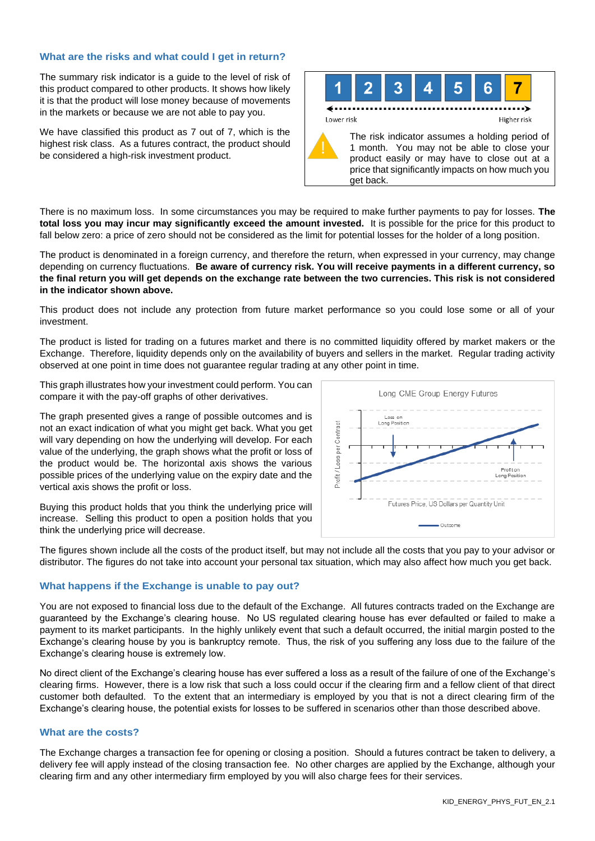# **What are the risks and what could I get in return?**

The summary risk indicator is a guide to the level of risk of this product compared to other products. It shows how likely it is that the product will lose money because of movements in the markets or because we are not able to pay you.

We have classified this product as 7 out of 7, which is the highest risk class. As a futures contract, the product should be considered a high-risk investment product.



There is no maximum loss. In some circumstances you may be required to make further payments to pay for losses. **The total loss you may incur may significantly exceed the amount invested.** It is possible for the price for this product to fall below zero: a price of zero should not be considered as the limit for potential losses for the holder of a long position.

The product is denominated in a foreign currency, and therefore the return, when expressed in your currency, may change depending on currency fluctuations. **Be aware of currency risk. You will receive payments in a different currency, so the final return you will get depends on the exchange rate between the two currencies. This risk is not considered in the indicator shown above.**

This product does not include any protection from future market performance so you could lose some or all of your investment.

The product is listed for trading on a futures market and there is no committed liquidity offered by market makers or the Exchange. Therefore, liquidity depends only on the availability of buyers and sellers in the market. Regular trading activity observed at one point in time does not guarantee regular trading at any other point in time.

This graph illustrates how your investment could perform. You can compare it with the pay-off graphs of other derivatives.

The graph presented gives a range of possible outcomes and is not an exact indication of what you might get back. What you get will vary depending on how the underlying will develop. For each value of the underlying, the graph shows what the profit or loss of the product would be. The horizontal axis shows the various possible prices of the underlying value on the expiry date and the vertical axis shows the profit or loss.

Buying this product holds that you think the underlying price will increase. Selling this product to open a position holds that you think the underlying price will decrease.



The figures shown include all the costs of the product itself, but may not include all the costs that you pay to your advisor or distributor. The figures do not take into account your personal tax situation, which may also affect how much you get back.

# **What happens if the Exchange is unable to pay out?**

You are not exposed to financial loss due to the default of the Exchange. All futures contracts traded on the Exchange are guaranteed by the Exchange's clearing house. No US regulated clearing house has ever defaulted or failed to make a payment to its market participants. In the highly unlikely event that such a default occurred, the initial margin posted to the Exchange's clearing house by you is bankruptcy remote. Thus, the risk of you suffering any loss due to the failure of the Exchange's clearing house is extremely low.

No direct client of the Exchange's clearing house has ever suffered a loss as a result of the failure of one of the Exchange's clearing firms. However, there is a low risk that such a loss could occur if the clearing firm and a fellow client of that direct customer both defaulted. To the extent that an intermediary is employed by you that is not a direct clearing firm of the Exchange's clearing house, the potential exists for losses to be suffered in scenarios other than those described above.

# **What are the costs?**

The Exchange charges a transaction fee for opening or closing a position. Should a futures contract be taken to delivery, a delivery fee will apply instead of the closing transaction fee. No other charges are applied by the Exchange, although your clearing firm and any other intermediary firm employed by you will also charge fees for their services.